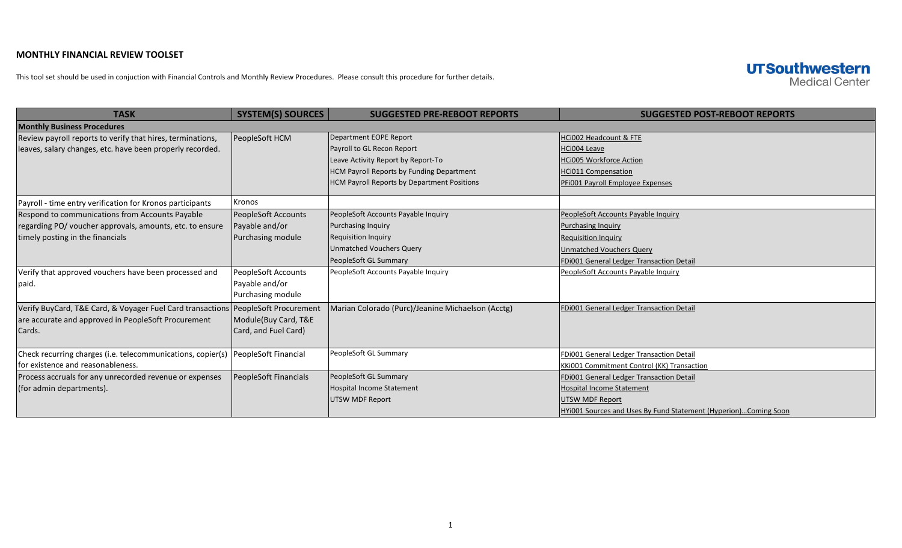## **MONTHLY FINANCIAL REVIEW TOOLSET**

This tool set should be used in conjuction with Financial Controls and Monthly Review Procedures. Please consult this procedure for further details.

## **UTSouthwestern Medical Center**

| <b>TASK</b>                                                                       | <b>SYSTEM(S) SOURCES</b> | <b>SUGGESTED PRE-REBOOT REPORTS</b>               | <b>SUGGESTED POST-REBOOT REPORTS</b>                            |
|-----------------------------------------------------------------------------------|--------------------------|---------------------------------------------------|-----------------------------------------------------------------|
| <b>Monthly Business Procedures</b>                                                |                          |                                                   |                                                                 |
| Review payroll reports to verify that hires, terminations,                        | PeopleSoft HCM           | Department EOPE Report                            | HCi002 Headcount & FTE                                          |
| leaves, salary changes, etc. have been properly recorded.                         |                          | Payroll to GL Recon Report                        | HCi004 Leave                                                    |
|                                                                                   |                          | Leave Activity Report by Report-To                | <b>HCi005 Workforce Action</b>                                  |
|                                                                                   |                          | HCM Payroll Reports by Funding Department         | <b>HCi011 Compensation</b>                                      |
|                                                                                   |                          | HCM Payroll Reports by Department Positions       | PFi001 Payroll Employee Expenses                                |
| Payroll - time entry verification for Kronos participants                         | Kronos                   |                                                   |                                                                 |
| Respond to communications from Accounts Payable                                   | PeopleSoft Accounts      | PeopleSoft Accounts Payable Inquiry               | PeopleSoft Accounts Payable Inquiry                             |
| regarding PO/ voucher approvals, amounts, etc. to ensure                          | Payable and/or           | <b>Purchasing Inquiry</b>                         | <b>Purchasing Inquiry</b>                                       |
| timely posting in the financials                                                  | Purchasing module        | <b>Requisition Inquiry</b>                        | <b>Requisition Inquiry</b>                                      |
|                                                                                   |                          | <b>Unmatched Vouchers Query</b>                   | <b>Unmatched Vouchers Query</b>                                 |
|                                                                                   |                          | PeopleSoft GL Summary                             | FDi001 General Ledger Transaction Detail                        |
| Verify that approved vouchers have been processed and                             | PeopleSoft Accounts      | PeopleSoft Accounts Payable Inquiry               | PeopleSoft Accounts Payable Inquiry                             |
| paid.                                                                             | Payable and/or           |                                                   |                                                                 |
|                                                                                   | Purchasing module        |                                                   |                                                                 |
| Verify BuyCard, T&E Card, & Voyager Fuel Card transactions PeopleSoft Procurement |                          | Marian Colorado (Purc)/Jeanine Michaelson (Acctg) | <b>FDi001 General Ledger Transaction Detail</b>                 |
| are accurate and approved in PeopleSoft Procurement                               | Module(Buy Card, T&E     |                                                   |                                                                 |
| Cards.                                                                            | Card, and Fuel Card)     |                                                   |                                                                 |
|                                                                                   |                          |                                                   |                                                                 |
| Check recurring charges (i.e. telecommunications, copier(s)                       | PeopleSoft Financial     | PeopleSoft GL Summary                             | FDi001 General Ledger Transaction Detail                        |
| for existence and reasonableness.                                                 |                          |                                                   | KKi001 Commitment Control (KK) Transaction                      |
| Process accruals for any unrecorded revenue or expenses                           | PeopleSoft Financials    | PeopleSoft GL Summary                             | FDi001 General Ledger Transaction Detail                        |
| (for admin departments).                                                          |                          | Hospital Income Statement                         | <b>Hospital Income Statement</b>                                |
|                                                                                   |                          | <b>UTSW MDF Report</b>                            | <b>UTSW MDF Report</b>                                          |
|                                                                                   |                          |                                                   | HYi001 Sources and Uses By Fund Statement (Hyperion)Coming Soon |